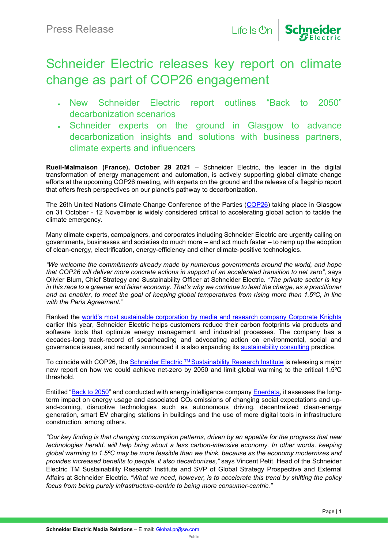

## Schneider Electric releases key report on climate change as part of COP26 engagement

- New Schneider Electric report outlines "Back to 2050" decarbonization scenarios
- Schneider experts on the ground in Glasgow to advance decarbonization insights and solutions with business partners, climate experts and influencers

**Rueil-Malmaison (France), October 29 2021** – Schneider Electric, the leader in the digital transformation of energy management and automation, is actively supporting global climate change efforts at the upcoming COP26 meeting, with experts on the ground and the release of a flagship report that offers fresh perspectives on our planet's pathway to decarbonization.

The 26th United Nations Climate Change Conference of the Parties [\(COP26\)](https://ukcop26.org/) taking place in Glasgow on 31 October - 12 November is widely considered critical to accelerating global action to tackle the climate emergency.

Many climate experts, campaigners, and corporates including Schneider Electric are urgently calling on governments, businesses and societies do much more – and act much faster – to ramp up the adoption of clean-energy, electrification, energy-efficiency and other climate-positive technologies.

*"We welcome the commitments already made by numerous governments around the world, and hope that COP26 will deliver more concrete actions in support of an accelerated transition to net zero",* says Olivier Blum, Chief Strategy and Sustainability Officer at Schneider Electric. *"The private sector is key in this race to a greener and fairer economy. That's why we continue to lead the charge, as a practitioner and an enabler, to meet the goal of keeping global temperatures from rising more than 1.5ºC, in line with the Paris Agreement."*

Ranked the [world's most sustainable corporation by media and research company Corporate Knights](https://www.se.com/ww/en/about-us/newsroom/news/press-releases/schneider-electric-ranked-world%E2%80%99s-most-sustainable-company-by-corporate-knights-600a99142da98a304f239fbf) earlier this year, Schneider Electric helps customers reduce their carbon footprints via products and software tools that optimize energy management and industrial processes. The company has a decades-long track-record of spearheading and advocating action on environmental, social and governance issues, and recently announced it is also expanding its [sustainability consulting](https://www.se.com/ww/en/about-us/newsroom/news/press-releases/schneider-electric-accelerates-and-expands-global-sustainability-consulting-business-615f049ed66de46d6d5a4c74) practice.

To coincide with COP26, the Schneider Electric ™ Sustainability Research Institute is releasing a major new report on how we could achieve net-zero by 2050 and limit global warming to the critical 1.5ºC threshold.

Entitled ["Back to 2050"](https://www.se.com/ww/en/insights/tl/schneider-electric-sustainability-research-institute/back-to-2050?%3F%3F%3F%3F=) and conducted with energy intelligence company [Enerdata,](https://www.enerdata.net/) it assesses the longterm impact on energy usage and associated  $CO<sub>2</sub>$  emissions of changing social expectations and upand-coming, disruptive technologies such as autonomous driving, decentralized clean-energy generation, smart EV charging stations in buildings and the use of more digital tools in infrastructure construction, among others.

*"Our key finding is that changing consumption patterns, driven by an appetite for the progress that new technologies herald, will help bring about a less carbon-intensive economy. In other words, keeping global warming to 1.5ºC may be more feasible than we think, because as the economy modernizes and provides increased benefits to people, it also decarbonizes,"* says Vincent Petit, Head of the Schneider Electric TM Sustainability Research Institute and SVP of Global Strategy Prospective and External Affairs at Schneider Electric. *"What we need, however, is to accelerate this trend by shifting the policy focus from being purely infrastructure-centric to being more consumer-centric."*